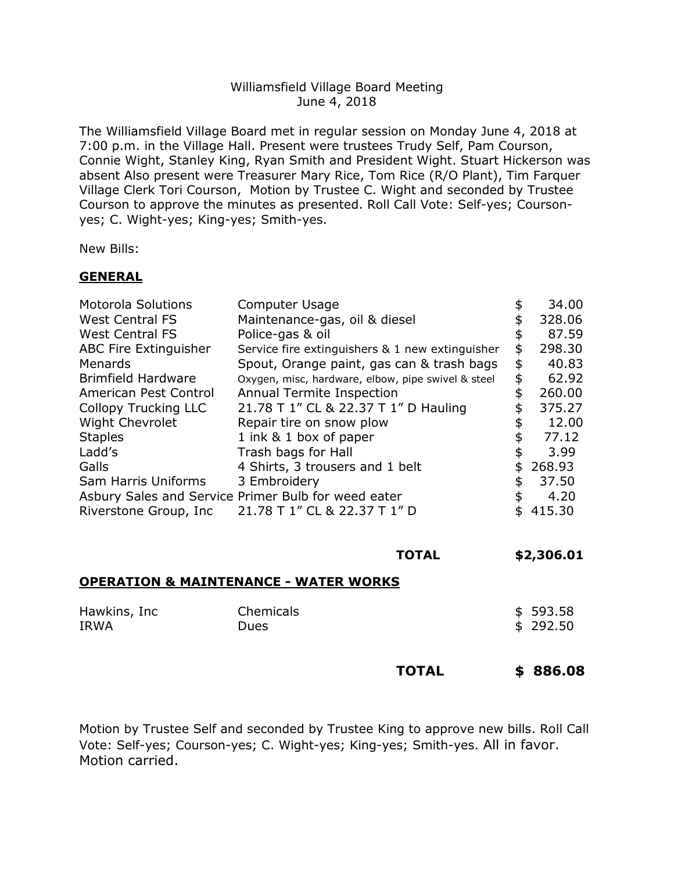## Williamsfield Village Board Meeting June 4, 2018

The Williamsfield Village Board met in regular session on Monday June 4, 2018 at 7:00 p.m. in the Village Hall. Present were trustees Trudy Self, Pam Courson, Connie Wight, Stanley King, Ryan Smith and President Wight. Stuart Hickerson was absent Also present were Treasurer Mary Rice, Tom Rice (R/O Plant), Tim Farquer Village Clerk Tori Courson, Motion by Trustee C. Wight and seconded by Trustee Courson to approve the minutes as presented. Roll Call Vote: Self-yes; Coursonyes; C. Wight-yes; King-yes; Smith-yes.

New Bills:

## **GENERAL**

| <b>Computer Usage</b>                               |                                      | 34.00  |
|-----------------------------------------------------|--------------------------------------|--------|
| Maintenance-gas, oil & diesel                       | \$                                   | 328.06 |
| Police-gas & oil                                    | \$                                   | 87.59  |
| Service fire extinguishers & 1 new extinguisher     | \$                                   | 298.30 |
| Spout, Orange paint, gas can & trash bags           | \$                                   | 40.83  |
| Oxygen, misc, hardware, elbow, pipe swivel & steel  | \$                                   | 62.92  |
| <b>Annual Termite Inspection</b>                    | \$                                   | 260.00 |
|                                                     | \$                                   | 375.27 |
| Repair tire on snow plow                            | \$                                   | 12.00  |
| 1 ink & 1 box of paper                              | \$                                   | 77.12  |
| Trash bags for Hall                                 | \$                                   | 3.99   |
| 4 Shirts, 3 trousers and 1 belt                     | \$                                   | 268.93 |
| 3 Embroidery                                        | \$                                   | 37.50  |
| Asbury Sales and Service Primer Bulb for weed eater | \$                                   | 4.20   |
| 21.78 T 1" CL & 22.37 T 1" D                        |                                      | 415.30 |
|                                                     | 21.78 T 1" CL & 22.37 T 1" D Hauling |        |

| <b>TOTAL</b> | \$2,306.01 |
|--------------|------------|
|              |            |

## **OPERATION & MAINTENANCE - WATER WORKS**

| Hawkins, Inc | Chemicals   | \$593.58 |
|--------------|-------------|----------|
| <b>IRWA</b>  | <b>Dues</b> | \$292.50 |
|              |             |          |

**TOTAL \$ 886.08**

Motion by Trustee Self and seconded by Trustee King to approve new bills. Roll Call Vote: Self-yes; Courson-yes; C. Wight-yes; King-yes; Smith-yes. All in favor. Motion carried.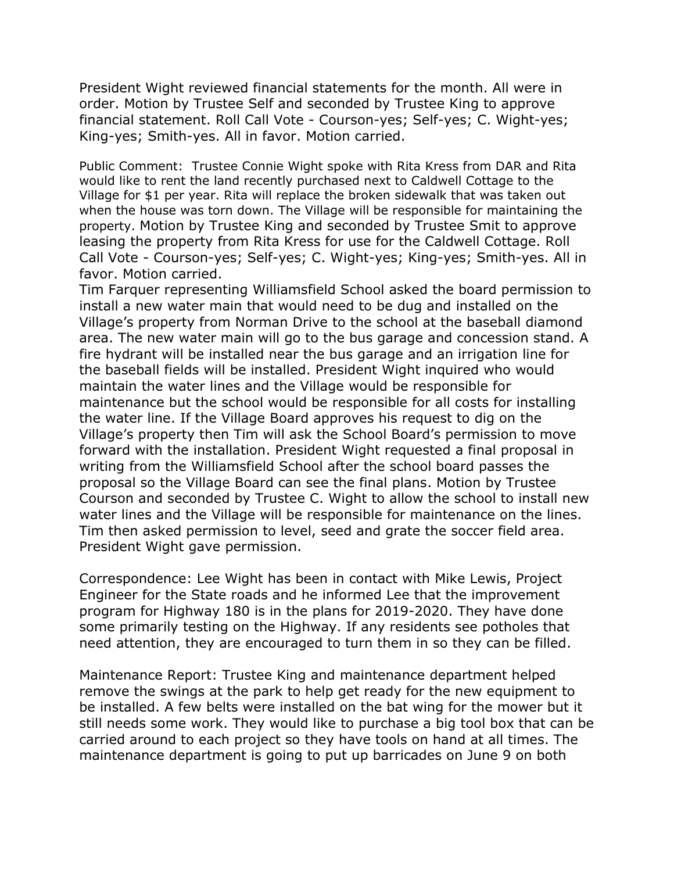President Wight reviewed financial statements for the month. All were in order. Motion by Trustee Self and seconded by Trustee King to approve financial statement. Roll Call Vote - Courson-yes; Self-yes; C. Wight-yes; King-yes; Smith-yes. All in favor. Motion carried.

Public Comment: Trustee Connie Wight spoke with Rita Kress from DAR and Rita would like to rent the land recently purchased next to Caldwell Cottage to the Village for \$1 per year. Rita will replace the broken sidewalk that was taken out when the house was torn down. The Village will be responsible for maintaining the property. Motion by Trustee King and seconded by Trustee Smit to approve leasing the property from Rita Kress for use for the Caldwell Cottage. Roll Call Vote - Courson-yes; Self-yes; C. Wight-yes; King-yes; Smith-yes. All in favor. Motion carried.

Tim Farquer representing Williamsfield School asked the board permission to install a new water main that would need to be dug and installed on the Village's property from Norman Drive to the school at the baseball diamond area. The new water main will go to the bus garage and concession stand. A fire hydrant will be installed near the bus garage and an irrigation line for the baseball fields will be installed. President Wight inquired who would maintain the water lines and the Village would be responsible for maintenance but the school would be responsible for all costs for installing the water line. If the Village Board approves his request to dig on the Village's property then Tim will ask the School Board's permission to move forward with the installation. President Wight requested a final proposal in writing from the Williamsfield School after the school board passes the proposal so the Village Board can see the final plans. Motion by Trustee Courson and seconded by Trustee C. Wight to allow the school to install new water lines and the Village will be responsible for maintenance on the lines. Tim then asked permission to level, seed and grate the soccer field area. President Wight gave permission.

Correspondence: Lee Wight has been in contact with Mike Lewis, Project Engineer for the State roads and he informed Lee that the improvement program for Highway 180 is in the plans for 2019-2020. They have done some primarily testing on the Highway. If any residents see potholes that need attention, they are encouraged to turn them in so they can be filled.

Maintenance Report: Trustee King and maintenance department helped remove the swings at the park to help get ready for the new equipment to be installed. A few belts were installed on the bat wing for the mower but it still needs some work. They would like to purchase a big tool box that can be carried around to each project so they have tools on hand at all times. The maintenance department is going to put up barricades on June 9 on both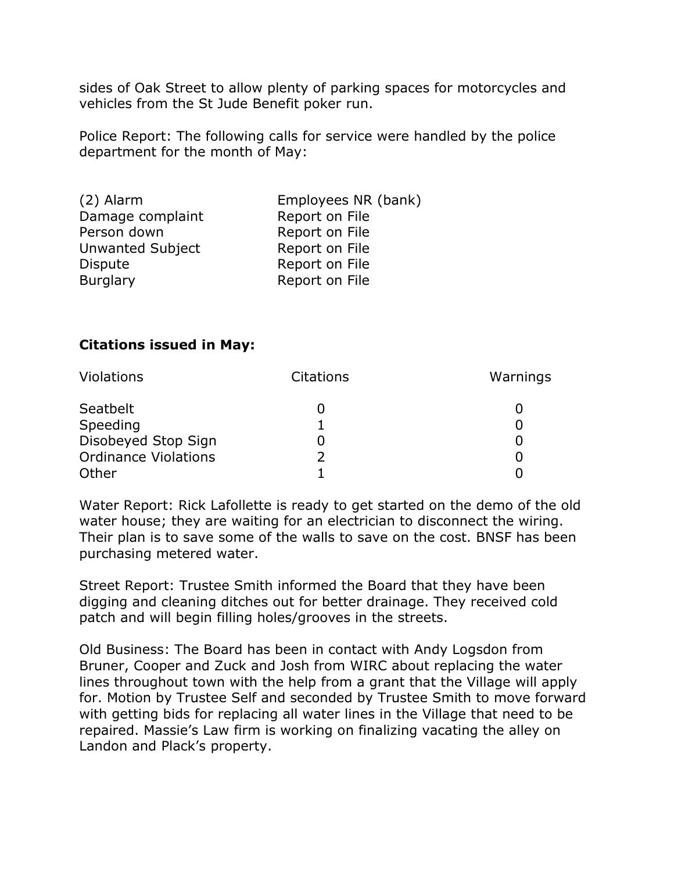sides of Oak Street to allow plenty of parking spaces for motorcycles and vehicles from the St Jude Benefit poker run.

Police Report: The following calls for service were handled by the police department for the month of May:

| Employees NR (bank) |
|---------------------|
| Report on File      |
| Report on File      |
| Report on File      |
| Report on File      |
| Report on File      |
|                     |

## **Citations issued in May:**

| Violations                  | <b>Citations</b> | Warnings |
|-----------------------------|------------------|----------|
| Seatbelt                    |                  |          |
| Speeding                    |                  |          |
| Disobeyed Stop Sign         |                  |          |
| <b>Ordinance Violations</b> |                  |          |
| Other                       |                  |          |

Water Report: Rick Lafollette is ready to get started on the demo of the old water house; they are waiting for an electrician to disconnect the wiring. Their plan is to save some of the walls to save on the cost. BNSF has been purchasing metered water.

Street Report: Trustee Smith informed the Board that they have been digging and cleaning ditches out for better drainage. They received cold patch and will begin filling holes/grooves in the streets.

Old Business: The Board has been in contact with Andy Logsdon from Bruner, Cooper and Zuck and Josh from WIRC about replacing the water lines throughout town with the help from a grant that the Village will apply for. Motion by Trustee Self and seconded by Trustee Smith to move forward with getting bids for replacing all water lines in the Village that need to be repaired. Massie's Law firm is working on finalizing vacating the alley on Landon and Plack's property.